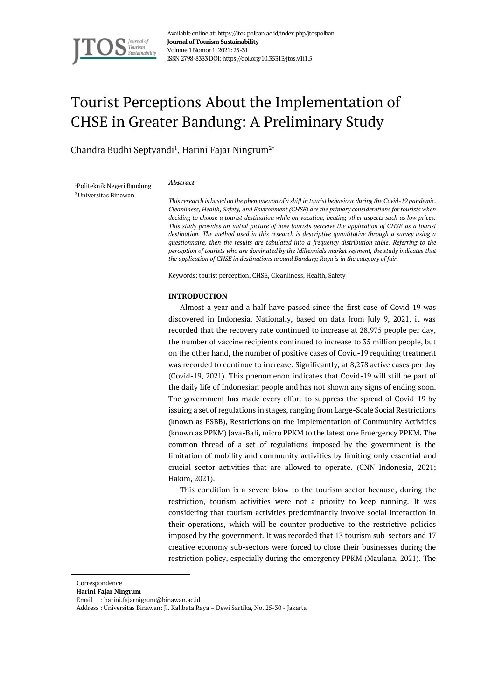

Available online at: https://jtos.polban.ac.id/index.php/jtospolban **Journal of Tourism Sustainability** Volume 1Nomor 1, 2021: 25-31 ISSN 2798-8333DOI: https://doi.org/10.35313/jtos.v1i1.5

# Tourist Perceptions About the Implementation of CHSE in Greater Bandung: A Preliminary Study

Chandra Budhi Septyandi<sup>1</sup>, Harini Fajar Ningrum<sup>2\*</sup>

<sup>1</sup>Politeknik Negeri Bandung 2Universitas Binawan

#### *Abstract*

*This research is based on the phenomenon of a shift in tourist behaviour during the Covid-19 pandemic. Cleanliness, Health, Safety, and Environment (CHSE) are the primary considerations for tourists when deciding to choose a tourist destination while on vacation, beating other aspects such as low prices. This study provides an initial picture of how tourists perceive the application of CHSE as a tourist destination. The method used in this research is descriptive quantitative through a survey using a questionnaire, then the results are tabulated into a frequency distribution table. Referring to the perception of tourists who are dominated by the Millennials market segment, the study indicates that the application of CHSE in destinations around Bandung Raya is in the category of fair.*

Keywords: tourist perception, CHSE, Cleanliness, Health, Safety

#### **INTRODUCTION**

Almost a year and a half have passed since the first case of Covid-19 was discovered in Indonesia. Nationally, based on data from July 9, 2021, it was recorded that the recovery rate continued to increase at 28,975 people per day, the number of vaccine recipients continued to increase to 35 million people, but on the other hand, the number of positive cases of Covid-19 requiring treatment was recorded to continue to increase. Significantly, at 8,278 active cases per day (Covid-19, 2021). This phenomenon indicates that Covid-19 will still be part of the daily life of Indonesian people and has not shown any signs of ending soon. The government has made every effort to suppress the spread of Covid-19 by issuing a set of regulations in stages, ranging from Large-Scale Social Restrictions (known as PSBB), Restrictions on the Implementation of Community Activities (known as PPKM) Java-Bali, micro PPKM to the latest one Emergency PPKM. The common thread of a set of regulations imposed by the government is the limitation of mobility and community activities by limiting only essential and crucial sector activities that are allowed to operate. (CNN Indonesia, 2021; Hakim, 2021).

This condition is a severe blow to the tourism sector because, during the restriction, tourism activities were not a priority to keep running. It was considering that tourism activities predominantly involve social interaction in their operations, which will be counter-productive to the restrictive policies imposed by the government. It was recorded that 13 tourism sub-sectors and 17 creative economy sub-sectors were forced to close their businesses during the restriction policy, especially during the emergency PPKM (Maulana, 2021). The

Correspondence

- **Harini Fajar Ningrum**
- Email : harini.fajarnigrum@binawan.ac.id

Address : Universitas Binawan: Jl. Kalibata Raya – Dewi Sartika, No. 25-30 - Jakarta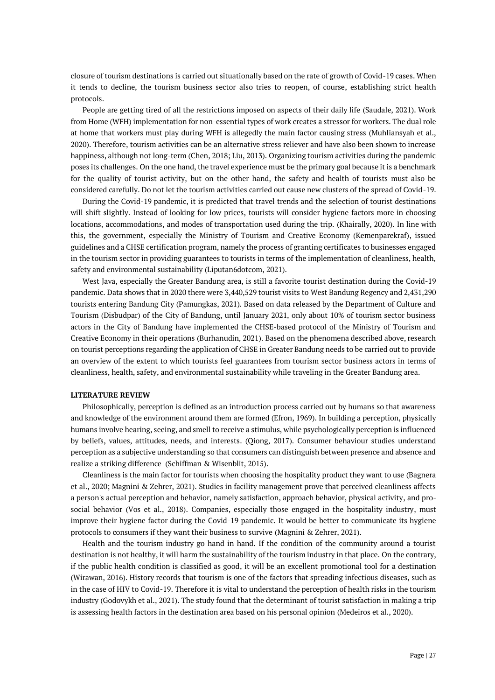closure of tourism destinations is carried out situationally based on the rate of growth of Covid-19 cases. When it tends to decline, the tourism business sector also tries to reopen, of course, establishing strict health protocols.

People are getting tired of all the restrictions imposed on aspects of their daily life (Saudale, 2021). Work from Home (WFH) implementation for non-essential types of work creates a stressor for workers. The dual role at home that workers must play during WFH is allegedly the main factor causing stress (Muhliansyah et al., 2020). Therefore, tourism activities can be an alternative stress reliever and have also been shown to increase happiness, although not long-term (Chen, 2018; Liu, 2013). Organizing tourism activities during the pandemic poses its challenges. On the one hand, the travel experience must be the primary goal because it is a benchmark for the quality of tourist activity, but on the other hand, the safety and health of tourists must also be considered carefully. Do not let the tourism activities carried out cause new clusters of the spread of Covid-19.

During the Covid-19 pandemic, it is predicted that travel trends and the selection of tourist destinations will shift slightly. Instead of looking for low prices, tourists will consider hygiene factors more in choosing locations, accommodations, and modes of transportation used during the trip. (Khairally, 2020). In line with this, the government, especially the Ministry of Tourism and Creative Economy (Kemenparekraf), issued guidelines and a CHSE certification program, namely the process of granting certificates to businesses engaged in the tourism sector in providing guarantees to tourists in terms of the implementation of cleanliness, health, safety and environmental sustainability (Liputan6dotcom, 2021).

West Java, especially the Greater Bandung area, is still a favorite tourist destination during the Covid-19 pandemic. Data shows that in 2020 there were 3,440,529 tourist visits to West Bandung Regency and 2,431,290 tourists entering Bandung City (Pamungkas, 2021). Based on data released by the Department of Culture and Tourism (Disbudpar) of the City of Bandung, until January 2021, only about 10% of tourism sector business actors in the City of Bandung have implemented the CHSE-based protocol of the Ministry of Tourism and Creative Economy in their operations (Burhanudin, 2021). Based on the phenomena described above, research on tourist perceptions regarding the application of CHSE in Greater Bandung needs to be carried out to provide an overview of the extent to which tourists feel guarantees from tourism sector business actors in terms of cleanliness, health, safety, and environmental sustainability while traveling in the Greater Bandung area.

### **LITERATURE REVIEW**

Philosophically, perception is defined as an introduction process carried out by humans so that awareness and knowledge of the environment around them are formed (Efron, 1969). In building a perception, physically humans involve hearing, seeing, and smell to receive a stimulus, while psychologically perception is influenced by beliefs, values, attitudes, needs, and interests. (Qiong, 2017). Consumer behaviour studies understand perception as a subjective understanding so that consumers can distinguish between presence and absence and realize a striking difference (Schiffman & Wisenblit, 2015).

Cleanliness is the main factor for tourists when choosing the hospitality product they want to use (Bagnera et al., 2020; Magnini & Zehrer, 2021). Studies in facility management prove that perceived cleanliness affects a person's actual perception and behavior, namely satisfaction, approach behavior, physical activity, and prosocial behavior (Vos et al., 2018). Companies, especially those engaged in the hospitality industry, must improve their hygiene factor during the Covid-19 pandemic. It would be better to communicate its hygiene protocols to consumers if they want their business to survive (Magnini & Zehrer, 2021).

Health and the tourism industry go hand in hand. If the condition of the community around a tourist destination is not healthy, it will harm the sustainability of the tourism industry in that place. On the contrary, if the public health condition is classified as good, it will be an excellent promotional tool for a destination (Wirawan, 2016). History records that tourism is one of the factors that spreading infectious diseases, such as in the case of HIV to Covid-19. Therefore it is vital to understand the perception of health risks in the tourism industry (Godovykh et al., 2021). The study found that the determinant of tourist satisfaction in making a trip is assessing health factors in the destination area based on his personal opinion (Medeiros et al., 2020).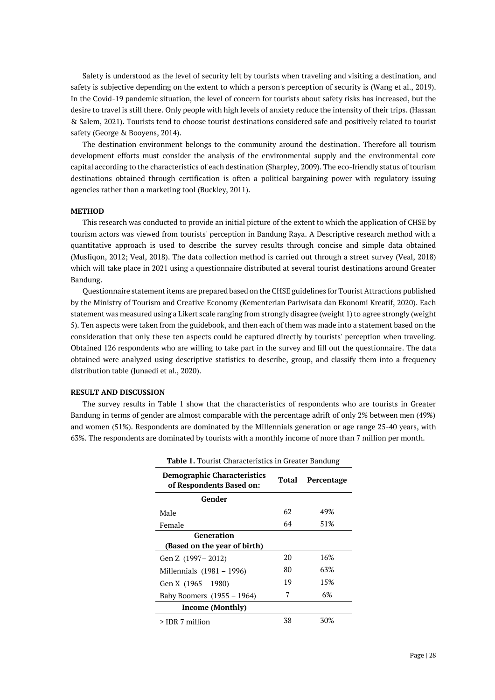Safety is understood as the level of security felt by tourists when traveling and visiting a destination, and safety is subjective depending on the extent to which a person's perception of security is (Wang et al., 2019). In the Covid-19 pandemic situation, the level of concern for tourists about safety risks has increased, but the desire to travel is still there. Only people with high levels of anxiety reduce the intensity of their trips. (Hassan & Salem, 2021). Tourists tend to choose tourist destinations considered safe and positively related to tourist safety (George & Booyens, 2014).

The destination environment belongs to the community around the destination. Therefore all tourism development efforts must consider the analysis of the environmental supply and the environmental core capital according to the characteristics of each destination (Sharpley, 2009). The eco-friendly status of tourism destinations obtained through certification is often a political bargaining power with regulatory issuing agencies rather than a marketing tool (Buckley, 2011).

#### **METHOD**

This research was conducted to provide an initial picture of the extent to which the application of CHSE by tourism actors was viewed from tourists' perception in Bandung Raya. A Descriptive research method with a quantitative approach is used to describe the survey results through concise and simple data obtained (Musfiqon, 2012; Veal, 2018). The data collection method is carried out through a street survey (Veal, 2018) which will take place in 2021 using a questionnaire distributed at several tourist destinations around Greater Bandung.

Questionnaire statement items are prepared based on the CHSE guidelines for Tourist Attractions published by the Ministry of Tourism and Creative Economy (Kementerian Pariwisata dan Ekonomi Kreatif, 2020). Each statement was measured using a Likert scale ranging from strongly disagree (weight 1) to agree strongly (weight 5). Ten aspects were taken from the guidebook, and then each of them was made into a statement based on the consideration that only these ten aspects could be captured directly by tourists' perception when traveling. Obtained 126 respondents who are willing to take part in the survey and fill out the questionnaire. The data obtained were analyzed using descriptive statistics to describe, group, and classify them into a frequency distribution table (Junaedi et al., 2020).

#### **RESULT AND DISCUSSION**

The survey results in Table 1 show that the characteristics of respondents who are tourists in Greater Bandung in terms of gender are almost comparable with the percentage adrift of only 2% between men (49%) and women (51%). Respondents are dominated by the Millennials generation or age range 25-40 years, with 63%. The respondents are dominated by tourists with a monthly income of more than 7 million per month.

| <b>Table 1.</b> Tourist Characteristics in Greater Bandung     |       |            |  |  |  |
|----------------------------------------------------------------|-------|------------|--|--|--|
| <b>Demographic Characteristics</b><br>of Respondents Based on: | Total | Percentage |  |  |  |
| Gender                                                         |       |            |  |  |  |
| Male                                                           | 62    | 49%        |  |  |  |
| Female                                                         | 64    | 51%        |  |  |  |
| Generation                                                     |       |            |  |  |  |
| (Based on the year of birth)                                   |       |            |  |  |  |
| Gen Z (1997 – 2012)                                            | 20    | 16%        |  |  |  |
| Millennials (1981 – 1996)                                      | 80    | 63%        |  |  |  |
| Gen X (1965 – 1980)                                            | 19    | 15%        |  |  |  |
| Baby Boomers $(1955 - 1964)$                                   | 7     | 6%         |  |  |  |
| Income (Monthly)                                               |       |            |  |  |  |
| > IDR 7 million                                                | 38    | 30%        |  |  |  |

**Table 1.** Tourist Characteristics in Greater Bandung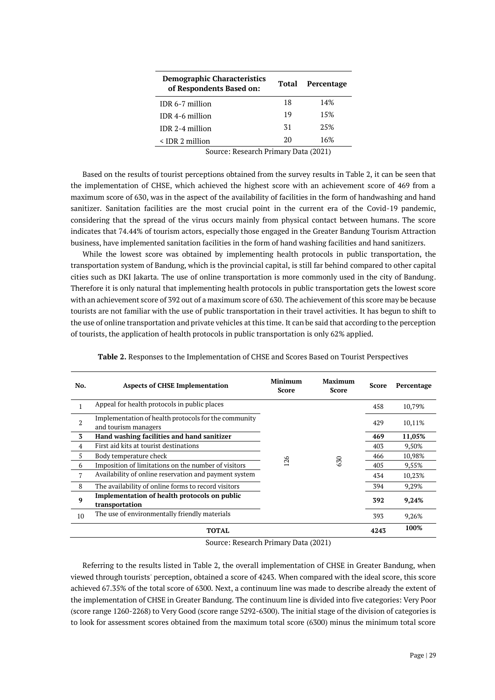| <b>Demographic Characteristics</b><br>of Respondents Based on: | Total | Percentage |  |
|----------------------------------------------------------------|-------|------------|--|
| IDR 6-7 million                                                | 18    | 14%        |  |
| IDR 4-6 million                                                | 19    | 15%        |  |
| IDR 2-4 million                                                | 31    | 25%        |  |
| $\leq$ IDR 2 million                                           | 20    | 16%        |  |

Source: Research Primary Data (2021)

Based on the results of tourist perceptions obtained from the survey results in Table 2, it can be seen that the implementation of CHSE, which achieved the highest score with an achievement score of 469 from a maximum score of 630, was in the aspect of the availability of facilities in the form of handwashing and hand sanitizer. Sanitation facilities are the most crucial point in the current era of the Covid-19 pandemic, considering that the spread of the virus occurs mainly from physical contact between humans. The score indicates that 74.44% of tourism actors, especially those engaged in the Greater Bandung Tourism Attraction business, have implemented sanitation facilities in the form of hand washing facilities and hand sanitizers.

While the lowest score was obtained by implementing health protocols in public transportation, the transportation system of Bandung, which is the provincial capital, is still far behind compared to other capital cities such as DKI Jakarta. The use of online transportation is more commonly used in the city of Bandung. Therefore it is only natural that implementing health protocols in public transportation gets the lowest score with an achievement score of 392 out of a maximum score of 630. The achievement of this score may be because tourists are not familiar with the use of public transportation in their travel activities. It has begun to shift to the use of online transportation and private vehicles at this time. It can be said that according to the perception of tourists, the application of health protocols in public transportation is only 62% applied.

| No.            | <b>Aspects of CHSE Implementation</b>                                        | <b>Minimum</b><br>Score | <b>Maximum</b><br>Score | Score | Percentage |
|----------------|------------------------------------------------------------------------------|-------------------------|-------------------------|-------|------------|
|                | Appeal for health protocols in public places                                 | 26                      | SO                      | 458   | 10,79%     |
| $\overline{2}$ | Implementation of health protocols for the community<br>and tourism managers |                         |                         | 429   | 10,11%     |
| 3              | Hand washing facilities and hand sanitizer                                   |                         |                         | 469   | 11,05%     |
| $\overline{4}$ | First aid kits at tourist destinations                                       |                         |                         | 403   | 9,50%      |
| 5              | Body temperature check                                                       |                         |                         | 466   | 10,98%     |
| 6              | Imposition of limitations on the number of visitors                          |                         |                         | 405   | 9,55%      |
| 7              | Availability of online reservation and payment system                        |                         |                         | 434   | 10,23%     |
| 8              | The availability of online forms to record visitors                          |                         |                         | 394   | 9,29%      |
| 9              | Implementation of health protocols on public<br>transportation               |                         |                         | 392   | 9,24%      |
| 10             | The use of environmentally friendly materials                                |                         |                         | 393   | 9,26%      |
|                | TOTAL                                                                        |                         |                         | 4243  | 100%       |

**Table 2.** Responses to the Implementation of CHSE and Scores Based on Tourist Perspectives

Source: Research Primary Data (2021)

Referring to the results listed in Table 2, the overall implementation of CHSE in Greater Bandung, when viewed through tourists' perception, obtained a score of 4243. When compared with the ideal score, this score achieved 67.35% of the total score of 6300. Next, a continuum line was made to describe already the extent of the implementation of CHSE in Greater Bandung. The continuum line is divided into five categories: Very Poor (score range 1260-2268) to Very Good (score range 5292-6300). The initial stage of the division of categories is to look for assessment scores obtained from the maximum total score (6300) minus the minimum total score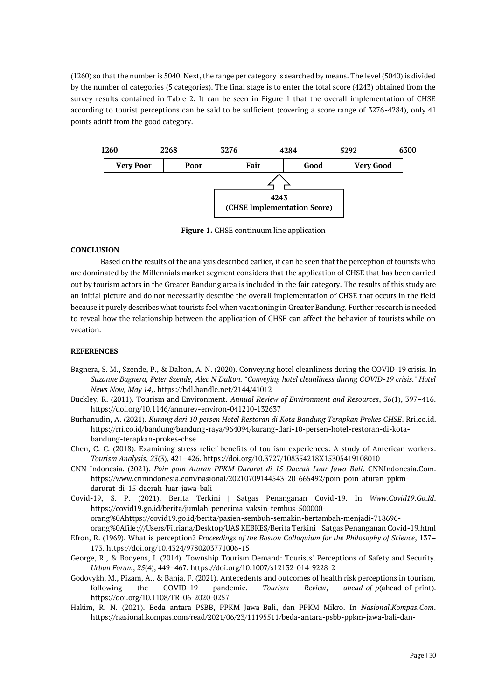(1260) so that the number is 5040. Next, the range per category is searched by means. The level (5040) is divided by the number of categories (5 categories). The final stage is to enter the total score (4243) obtained from the survey results contained in Table 2. It can be seen in Figure 1 that the overall implementation of CHSE according to tourist perceptions can be said to be sufficient (covering a score range of 3276-4284), only 41 points adrift from the good category.



**Figure 1.** CHSE continuum line application

## **CONCLUSION**

Based on the results of the analysis described earlier, it can be seen that the perception of tourists who are dominated by the Millennials market segment considers that the application of CHSE that has been carried out by tourism actors in the Greater Bandung area is included in the fair category. The results of this study are an initial picture and do not necessarily describe the overall implementation of CHSE that occurs in the field because it purely describes what tourists feel when vacationing in Greater Bandung. Further research is needed to reveal how the relationship between the application of CHSE can affect the behavior of tourists while on vacation.

## **REFERENCES**

- Bagnera, S. M., Szende, P., & Dalton, A. N. (2020). Conveying hotel cleanliness during the COVID-19 crisis. In *Suzanne Bagnera, Peter Szende, Alec N Dalton. "Conveying hotel cleanliness during COVID-19 crisis." Hotel News Now, May 14,*. https://hdl.handle.net/2144/41012
- Buckley, R. (2011). Tourism and Environment. *Annual Review of Environment and Resources*, *36*(1), 397–416. https://doi.org/10.1146/annurev-environ-041210-132637
- Burhanudin, A. (2021). *Kurang dari 10 persen Hotel Restoran di Kota Bandung Terapkan Prokes CHSE*. Rri.co.id. https://rri.co.id/bandung/bandung-raya/964094/kurang-dari-10-persen-hotel-restoran-di-kotabandung-terapkan-prokes-chse
- Chen, C. C. (2018). Examining stress relief benefits of tourism experiences: A study of American workers. *Tourism Analysis*, *23*(3), 421–426. https://doi.org/10.3727/108354218X15305419108010
- CNN Indonesia. (2021). *Poin-poin Aturan PPKM Darurat di 15 Daerah Luar Jawa-Bali*. CNNIndonesia.Com. https://www.cnnindonesia.com/nasional/20210709144543-20-665492/poin-poin-aturan-ppkmdarurat-di-15-daerah-luar-jawa-bali
- Covid-19, S. P. (2021). Berita Terkini | Satgas Penanganan Covid-19. In *Www.Covid19.Go.Id*. https://covid19.go.id/berita/jumlah-penerima-vaksin-tembus-500000 orang%0Ahttps://covid19.go.id/berita/pasien-sembuh-semakin-bertambah-menjadi-718696-
- orang%0Afile:///Users/Fitriana/Desktop/UAS KEBKES/Berita Terkini \_ Satgas Penanganan Covid-19.html Efron, R. (1969). What is perception? *Proceedings of the Boston Colloquium for the Philosophy of Science*, 137– 173. https://doi.org/10.4324/9780203771006-15
- George, R., & Booyens, I. (2014). Township Tourism Demand: Tourists' Perceptions of Safety and Security. *Urban Forum*, *25*(4), 449–467. https://doi.org/10.1007/s12132-014-9228-2
- Godovykh, M., Pizam, A., & Bahja, F. (2021). Antecedents and outcomes of health risk perceptions in tourism, following the COVID-19 pandemic. *Tourism Review*, *ahead*-*of*-*p*(ahead-of-print). https://doi.org/10.1108/TR-06-2020-0257
- Hakim, R. N. (2021). Beda antara PSBB, PPKM Jawa-Bali, dan PPKM Mikro. In *Nasional.Kompas.Com*. https://nasional.kompas.com/read/2021/06/23/11195511/beda-antara-psbb-ppkm-jawa-bali-dan-